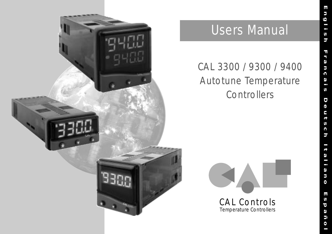

# Users Manual

# CAL 3300 / 9300 / 9400 Autotune Temperature **Controllers**

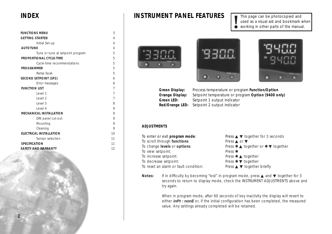| <b>FUNCTIONS MENU</b>            | 3              |
|----------------------------------|----------------|
| <b>GETTING STARTED</b>           | $\overline{4}$ |
| Initial Set-up                   | $\overline{4}$ |
| <b>AUTOTUNE</b>                  | $\overline{4}$ |
| Tune or tune at setpoint program | 5              |
| PROPORTIONAL CYCLE-TIME          | 5              |
| Cycle-time recommendations       | 5              |
| <b>PROGRAMMER</b>                | 5              |
| Ramp-Soak                        | 5              |
| <b>SECOND SETPOINT (SP2)</b>     | 6              |
| Error messages                   | 6              |
| <b>FUNCTION LIST</b>             | $\overline{7}$ |
| Level 1                          | $\overline{7}$ |
| Level <sub>2</sub>               | $\overline{7}$ |
| Level 3                          | 8              |
| Level 4                          | 9              |
| <b>MECHANICAL INSTALLATION</b>   | 9              |
| DIN panel cut-out                | 9              |
| Mounting                         | 9              |
| Cleaning                         | 9              |
| <b>ELECTRICAL INSTALLATION</b>   | 10             |
| Sensor selection                 | 11             |
| <b>SPECIFICATION</b>             | 11             |
| <b>SAFETY AND WARRANTY</b>       | 12             |

# **INDEX INSTRUMENT PANEL FEATURES**

This page can be photocopied and used as a visual aid and bookmark when **!** working in other parts of the manual.







**Green Display:** Process temperature or program **Function/Option Orange Display:** Setpoint temperature or program **Option (9400 only) Green LED:** Setpoint 1 output indicator **Red/Orange LED:** Setpoint 2 output indicator

#### **ADJUSTMENTS**

To enter or exit **program mode**: Press ▲ ▼ together for 3 seconds To scroll through **functions**: Press ▲ or ▼ To change **levels** or **options**: Press ✱ ▲ together or ✱ ▼ together To view setpoint: Press  $*$ To increase setpoint: Press  $★$  ▲ together To decrease setpoint: Press  $\star$  ▼ together To reset an alarm or fault condition: Press ▲ ▼ together briefly

Notes: If in difficulty by becoming "lost" in program mode, press **▲** and **▼** together for 3 seconds to return to display mode, check the INSTRUMENT ADJUSTMENTS above and try again.

> When in program mode, after 60 seconds of key inactivity the display will revert to either **inPt : nonE** or, if the initial configuration has been completed, the measured value. Any settings already completed will be retained.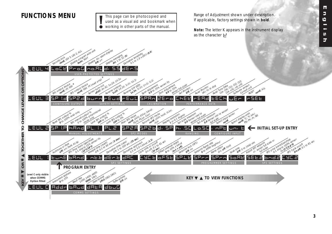This page can be photocopied and used as a visual aid and bookmark when **!** working in other parts of the manual.

<span id="page-2-0"></span>**FUNCTIONS MENU Range of Adjustment shown under description.** If applicable, factory settings shown in **bold**.

> **Note:** The letter K appears in the instrument display as the character  $\vdash$

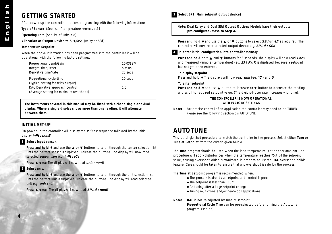# <span id="page-3-0"></span>**GETTING STARTED**

After power-up the controller requires programming with the following information:

**Type of Sensor** (See list of temperature sensors p.11)

**Operating unit** (See list of units p.8)

**Allocation of Output Device to SP1/SP2** (Relay or SSd)

#### **Temperature Setpoint**

When the above information has been programmed into the controller it will be operational with the following factory settings.

| Proportional band/Gain                  | 10°C/18°F |
|-----------------------------------------|-----------|
| Integral time/Reset                     | 5 mins    |
| Derivative time/Rate                    | 25 secs   |
| Proportional cycle-time                 | 20 secs   |
| (Typical setting for relay output)      |           |
| DAC Derivative approach control         | 1.5       |
| (Average setting for minimum overshoot) |           |

**The instruments covered in this manual may be fitted with either a single or a dual display. Where a single display shows more than one reading, it will alternate between them.**

#### **INITIAL SET-UP**

On power-up the controller will display the self test sequence followed by the initial display **inPt : nonE**

#### **1 Select input sensor.**

**Press and hold**  $\star$  **and use the ▲ or ▼ buttons to scroll through the sensor selection list** until the correct sensor is displayed. Release the buttons. The display will now read selected sensor type e.g. **inPt : tCs**

**Press** ▲ **once** The display will now read **unit : nonE**

#### **2 Select unit.**

**Press and hold \*** and use the ▲ or ▼ buttons to scroll through the unit selection list until the correct unit is displayed. Release the buttons. The display will read selected unit e.g. **unit : °C**

**Press** ▲ **once** The display will now read **SP1.d : nonE**



**Note: Dual Relay and Dual SSd Output Options Models have their outputs pre-configured. Move to Step 4.**

**Press and hold** ✱ and use the ▲ or ▼ buttons to select **SSd** or **rLY** as required. The controller will now read selected output device e.g. **SP1.d : SSd**

#### **4 To enter initial configuration into controller memory**

Press and hold both **▲** and ▼ buttons for 3 seconds. The display will now read ParK and measured variable (temperature) (eg. **23** ) **ParK** is displayed because a setpoint has not yet been entered.

#### **To display setpoint**

Press and hold ✱ The displays will now read **unit** (eg. **°C** ) and **<sup>0</sup>**

#### **To enter setpoint**

**Press and hold**  $★$  and use ▲ button to increase or ▼ button to decrease the reading and scroll to required setpoint value. (The digit roll-over rate increases with time).

#### **THE CONTROLLER IS NOW OPERATIONAL WITH FACTORY SETTINGS**

**Note:** For precise control of an application the controller may need to be TUNED. Please see the following section on AUTOTUNE

# **AUTOTUNE**

This is a single shot procedure to match the controller to the process. Select either **Tune** or **Tune at Setpoint** from the criteria given below.

The **Tune** program should be used when the load temperature is at or near ambient. The procedure will apply disturbances when the temperature reaches 75% of the setpoint value, causing overshoot which is monitored in order to adjust the **DAC** overshoot inhibit feature. Care should be taken to ensure that any overshoot is safe for the process.

The **Tune at Setpoint** program is recommended when:

- The process is already at setpoint and control is poor
- The setpoint is less than 100°C
- Re-tuning after a large setpoint change
- Tuning multi-zone and/or heat-cool applications.

**Notes**: **DAC** is not re-adjusted by Tune at setpoint. **Proportional Cycle Time** can be pre-selected before running the Autotune program. (see p5)

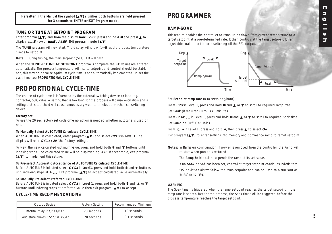<span id="page-4-0"></span>**Hereafter in the Manual the symbol (**▲▼**) signifies both buttons are held pressed for 3 seconds to ENTER or EXIT Program mode.**

#### **TUNE OR TUNE AT SETPOINT PROGRAM**

Enter program (▲▼) and from the display **tunE : oFF** press and hold ✱ and press ▲ to display **tunE : on** or **tunE : At.SP** Exit program mode (▲▼).

The **TUNE** program will now start. The display will show **tunE** as the process temperature climbs to setpoint.

**Note:** During tuning, the main setpoint (SP1) LED will flash.

When the **TUNE** or **TUNE AT SETPOINT** program is complete the PID values are entered automatically. The process temperature will rise to setpoint and control should be stable. If not, this may be because optimum cycle time is not automatically implemented. To set the cycle time see **PROPORTIONAL CYCLE-TIME**.

# **PROPORTIONAL CYCLE-TIME**

The choice of cycle-time is influenced by the external switching device or load. eg. contactor, SSR, valve. A setting that is too long for the process will cause oscillation and a setting that is too short will cause unnecessary wear to an electro-mechanical switching device.

#### **Factory set**

To use the 20 sec factory set cycle-time no action is needed whether autotune is used or not.

#### **To Manually Select AUTOTUNE Calculated CYCLE-TIME**

When AUTOTUNE is completed, enter program (▲▼) and select **CYC.t** in **Level 1**. The display will read **CYC.t : 20** (the factory setting).

To view the new calculated optimum value, press and hold both ✱ and ▼ buttons until indexing stops. The calculated value will be displayed eg. **A16**. If acceptable, exit program (▲▼) to implement this setting.

#### **To Pre-select Automatic Acceptance of AUTOTUNE Calculated CYCLE-TIME**

Before AUTOTUNE is initiated select **CYC.t** in **Level1**, press and hold both ✱ and ▼ buttons until indexing stops at **<sup>A</sup> – –**. Exit program (▲▼) to accept calculated value automatically.

#### **To Manually Pre-select Preferred CYCLE-TIME**

Before AUTOTUNE is initiated select **CYC.t** in **Level 1**, press and hold both ✱ and ▲ or ▼ buttons until indexing stops at preferred value then exit program (▲▼) to accept.

#### **CYCLE-TIME RECOMMENDATIONS**

| <b>Output Device</b>              | <b>Factory Setting</b> | <b>Recommended Minimum</b> |  |
|-----------------------------------|------------------------|----------------------------|--|
| Internal relay: rLY/rLY1/rLY2     | 20 seconds             | 10 seconds                 |  |
| Solid state drives: SSd/SSd1/SSd2 | 20 seconds             | $0.1$ seconds              |  |

# **PROGRAMMER**

#### **RAMP-SOAK**

This feature enables the controller to ramp up or down from current temperature to a target setpoint at a pre-determined rate. It then controls at the target setpoint for an adjustable soak period before switching off the SP1 output.



Set **Setpoint ramp rate (**0 to 9995 deg/hour)

From **SPrr** in Level 1, press and hold  $*$  and **△** or ▼ to scroll to required ramp rate.

Set **Soak** (if required) 0 to 1440 minutes

From  $\mathbf{SoAk}_{-}$  in Level 1, press and hold  $\ast$  and  $\blacktriangle$  or  $\nabla$  to scroll to required Soak time.

Set **Ramp on** (Off: On: Hold)

From **Sprn** in Level 1, press and hold ✱, then press ▲ to select **On**

Exit program (▲▼) to enter settings into memory and commence ramp to target setpoint.

**Notes:** In **Ramp on** configuration, if power is removed from the controller, the Ramp will re-start when power is restored.

The **Ramp hold** option suspends the ramp at its last value.

If no **Soak** period has been set, control at target setpoint continues indefinitely.

SP2 deviation alarms follow the ramp setpoint and can be used to alarm "out of limits" ramp rate.

#### **WARNING**

The Soak timer is triggered when the ramp setpoint reaches the target setpoint. If the ramp rate is set too fast for the process, the Soak timer will be triggered before the process temperature reaches the target setpoint.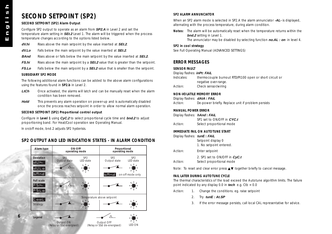# <span id="page-5-0"></span>**SECOND SETPOINT (SP2)**

#### **SECOND SETPOINT (SP2) Alarm Output**

Configure SP2 output to operate as an alarm from **SP2.A** in Level 2 and set the temperature alarm setting in **SEt.2** Level 1. The alarm will be triggered when the process temperature changes according to the options listed below.

**dV.hi** Rises above the main setpoint by the value inserted at **SEt.2**.

**dV.Lo** Falls below the main setpoint by the value inserted at **SEt.2**.

- **BAnd** Rises above or falls below the main setpoint by the value inserted at **SEt.2**.
- **FS.hi** Rises above the main setpoint by a **SEt.2** value that is greater than the setpoint.
- **FS.Lo** Falls below the main setpoint by a **SEt.2** value that is smaller than the setpoint.

#### **SUBSIDIARY SP2 MODE**

**6**

The following additional alarm functions can be added to the above alarm configurations using the features found in **SP2.b** in Level 2.

- LtCh Once activated, the alarms will latch and can be manually reset when the alarm condition has been removed.
- **Hold** This prevents any alarm operation on power-up and is automatically disabled once the process reaches setpoint in order to allow normal alarm operation.

#### **SECOND SETPOINT (SP2) Proportional control output**

Configure in **Level 1** using **CyC.2** to select proportional cycle time and **bnd.2** to adjust proportioning band. For Heat/Cool operation see Operating Manual.

In on/off mode, bnd.2 adjusts SP2 hysterisis.

#### **SP2 OUTPUT AND LED INDICATION STATES - IN ALARM CONDITION**



#### **SP2 ALARM ANNUNCIATOR**

When an SP2 alarm mode is selected in SP2.A the alarm annunciator **-AL-** is displayed, alternating with the process temperature, during alarm condition.

**Notes:** The alarm will be automatically reset when the temperature returns within the **bnd.2** setting in Level 1. The annunciator may be disabled by selecting function **no.AL : on** in level 4.

#### **SP2 in cool strategy**

See Full Operating Manual (ADVANCED SETTINGS)

#### **ERROR MESSAGES**

#### **SENSOR FAULT**

#### Display flashes: **inPt: FAiL**

| Indicates: | thermocouple burnout RTD/Pt100 open or short circuit or |
|------------|---------------------------------------------------------|
|            | negative over-range.                                    |
| Action:    | Check sensor/wiring                                     |

#### **NON-VOLATILE MEMORY ERROR**

| Display flashes: dAtA: FAIL |                                                    |
|-----------------------------|----------------------------------------------------|
| Action:                     | De-power briefly. Replace unit if problem persists |

#### **MANUAL POWER ERROR**

| Display flashes: hAnd: FAIL |                            |
|-----------------------------|----------------------------|
|                             | SP1 set to ON/OFF in CYC.t |
| Action:                     | Select proportional mode   |

#### **IMMEDIATE FAIL ON AUTOTUNE START**

Display flashes: **tunE : FAiL**

| Setpoint display 0      |  |
|-------------------------|--|
| 1. No setpoint entered. |  |

- Action: Enter setpoint 2. SP1 set to ON/OFF in **CyC.t**
- Action: Select proportional mode

Note: To reset and clear error press **AV** together briefly to cancel message.

#### **FAIL LATER DURING AUTOTUNE CYCLE**

The thermal characteristics of the load exceed the Autotune algorithm limits. The failure point indicated by any display 0.0 in **tech** e.g. Ctb = 0.0

- Action: 1. Change the conditions. eg. raise setpoint
	- 2. Try **tunE : At.SP**
	- 3. If the error message persists, call local CAL representative for advice.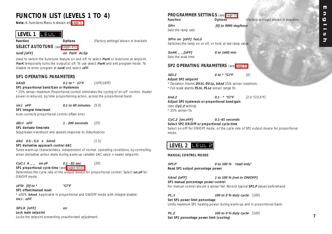# <span id="page-6-0"></span>**FUNCTION LIST (LEVELS 1 TO 4)**

**Note:** A Functions Menu is shown on [page 3.](#page-2-0)

## LEVEL 1 **LEUL** 1

**Function Options** *[Factory settings] shown in brackets* 

**SELECT AUTOTUNE** (see [pages 4/5\)](#page-3-0)

**tunE [oFF] on ParK At.Sp**

Used to switch the Autotune feature on and off, to select **ParK** or Autotune at setpoint. **ParK** temporarily turns the output(s) off. To use select **ParK** and exit program mode. To disable re-enter program at **tunE** and select **oFF**.

#### **SP1 OPERATING PARAMETERS**

**bAnD 0.1 to \* C/°F** [10°C/18°F]

#### **SP1 proportional band/Gain or Hysteresis**

\* 25% sensor maximum Proportional control eliminates the cycling of on-off control. Heater power is reduced, by time proportioning action, across the proportional band.

**int.t oFF 0.1 to 60 minutes** [5.0] **SP1 integral time/reset** Auto-corrects proportional control offset error

#### **dEr.t oFF 1 - 200 seconds** [25]

**SP1 derivate time/rate** Suppresses overshoot and speeds response to disturbances

**dAC** 0.5 - 5.0 x bAnd [1.5]

**SP1 derivative approach control dAC**

Tunes warm-up characteristics, independent of normal operating conditions, by controlling when derivative action starts during warm-up (smaller dAC value = nearer setpoint).

#### **CyC.t A – – on.oF 0.1 - 81 sec** [20]

**SP1 proportional cycle-time** (see [pages 9/10\)](#page-8-0) Determines the cycle rate of the output device for proportional control. Select **on.oF** for ON/OFF mode.

#### **oFSt [0] to \* °C/°F**

**SP1 offset/manual reset** \* ±50% **bAnd**. Applicable in proportional and ON/OFF mode with integral disable: **Int.t : oFF**.

#### **SP.LK [oFF] on**

**Lock main setpoint** Locks the setpoint preventing unauthorised adjustment.

### **PROGRAMMER SETTINGS** (see [page 5\)](#page-4-0)

**Function Contions Continues** *Continues CONTENS CONTENS EXECUTE: CONTENS CONTENS CONTENS CONTENS CONTENS CONTENS CONTENS CONTENS CONTENS CONTENS CONTENS CONTENS CONTENS CONTENS C* 

Sets the ramp rate

**SPrn on [oFF] hoLd** Switches the ramp on or off, or hold at last ramp value

**SPrr [0] to 9995 deg/hour**

**SoAK – – [oFF] 0 to 1440 min** Sets the soak time

#### **SP2 OPERATING PARAMETERS** (see [page 6\)](#page-5-0)

| SEt.2<br>the contract of the contract of |  |  |
|------------------------------------------|--|--|
|                                          |  |  |

**SEt.2 0 to \* °C/°F** [0]

**Adjust SP2 setpoint** \* Deviation Alarms **DV.hi, DV.Lo, bAnd** 25% sensor maximum.

\* Full scale alarms **FS.hi, FS.Lo** sensor range f/s

#### **bnd.2 0.1 - \* °C/°F** [2.0 °C/3.6°F] **Adjust SP2 hysteresis or proportional band/gain** (see **CyC.2** setting)

\* 25% sensor f/s

#### **CyC.2 [on.oFF] 0.1–81 seconds Select SP2 ON/OFF or proportional cycle-time**

Select on.oFF for ON/OFF mode, or the cycle rate of SP2 output device for proportional mode.

## LEVEL 2 **LE<del>UL</del> 2**

#### **MANUAL CONTROL MODES**

**SPI.P 0 to 100 % 'read only' Read SP1 output percentage power**

**hAnd [oFF] 1 to 100 % (not in ON/OFF) SP1 manual percentage power control**

For manual control should a sensor fail. Record typical **SP1.P** values beforehand.

**PL.1 100 to 0 % duty cycle** [100]

**Set SP1 power limit percentage** Limits maximum SP1 heating power during warm-up and in proportional band.

**PL.2 100 to 0 % duty cycle** [100] **Set SP2** percentage power limit (cooling)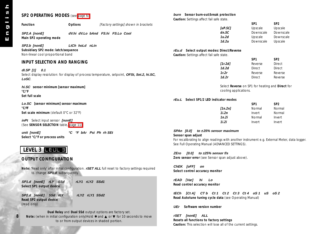<span id="page-7-0"></span>

| SP2 OPERATING MODES (see page 6)        |                                                                                                        |                                         | burn Sensor burn-out/break protection<br>Caution: Settings affect fail safe state. |                                                  |                 |                                                                                               |
|-----------------------------------------|--------------------------------------------------------------------------------------------------------|-----------------------------------------|------------------------------------------------------------------------------------|--------------------------------------------------|-----------------|-----------------------------------------------------------------------------------------------|
|                                         |                                                                                                        |                                         |                                                                                    |                                                  | SP <sub>1</sub> | SP <sub>2</sub>                                                                               |
| <b>Function</b>                         | <b>Options</b><br>[Factory settings] shown in brackets                                                 |                                         |                                                                                    | [uP.SC]                                          | Upscale         | Upscale                                                                                       |
|                                         |                                                                                                        |                                         | dn.SC                                                                              |                                                  | Downscale       | Downscale                                                                                     |
| SP2.A [nonE]                            | dV.hi dV.Lo bAnd FS.hi FS.Lo Cool                                                                      |                                         | 1u.2d                                                                              |                                                  | Upscale         | Downscale                                                                                     |
| Main SP2 operating mode                 |                                                                                                        |                                         |                                                                                    |                                                  |                 |                                                                                               |
|                                         |                                                                                                        |                                         | 1d.2u                                                                              |                                                  | Downscale       | Upscale                                                                                       |
| SP2.b [nonE]                            | LtCh hoLd nLin                                                                                         |                                         |                                                                                    |                                                  |                 |                                                                                               |
| Subsidiary SP2 mode: latch/sequence     |                                                                                                        |                                         | rEu.d Select output modes: Direct/Reverse                                          |                                                  |                 |                                                                                               |
| Non-linear cool proportional band       |                                                                                                        |                                         | Caution: Settings affect fail safe state.                                          |                                                  |                 |                                                                                               |
| <b>INPUT SELECTION AND RANGING</b>      |                                                                                                        |                                         |                                                                                    |                                                  | SP <sub>1</sub> | SP <sub>2</sub>                                                                               |
|                                         |                                                                                                        |                                         | [1r.2d]                                                                            |                                                  | Reverse         | Direct                                                                                        |
| dl.SP [1] 0.1                           |                                                                                                        |                                         | 1d.2d                                                                              |                                                  | Direct          | Direct                                                                                        |
|                                         | Select display resolution: for display of process temperature, setpoint, OFSt, Set.2, hi.SC,           |                                         | 1r.2r                                                                              |                                                  | Reverse         | Reverse                                                                                       |
| LoSC.                                   |                                                                                                        |                                         | 1d.2r                                                                              |                                                  | Direct          | Reverse                                                                                       |
|                                         |                                                                                                        |                                         |                                                                                    |                                                  |                 |                                                                                               |
| hi.SC sensor minimum [sensor maximum]   |                                                                                                        |                                         |                                                                                    | Select Reverse on SP1 for heating and Direct for |                 |                                                                                               |
| °C/°F                                   |                                                                                                        |                                         |                                                                                    | cooling applications.                            |                 |                                                                                               |
| Set full scale                          |                                                                                                        |                                         |                                                                                    |                                                  |                 |                                                                                               |
|                                         |                                                                                                        |                                         | rEu.L Select SP1/2 LED indicator modes                                             |                                                  |                 |                                                                                               |
| Lo.SC [sensor minimum] sensor maximum   |                                                                                                        |                                         |                                                                                    |                                                  | SP <sub>1</sub> | SP <sub>2</sub>                                                                               |
| °C/°F                                   |                                                                                                        |                                         |                                                                                    | [1n.2n]                                          | Normal          | Normal                                                                                        |
| Set scale minimum (default 0°C or 32°F) |                                                                                                        |                                         | 1i.2n                                                                              |                                                  | Invert          | Normal                                                                                        |
|                                         |                                                                                                        |                                         | 1n.2i                                                                              |                                                  | Normal          | Invert                                                                                        |
| inPt Select input sensor [nonE]         |                                                                                                        |                                         | 1i.2i                                                                              |                                                  | Invert          | Invert                                                                                        |
| (See SENSOR SELECTION table, page 11)   |                                                                                                        |                                         |                                                                                    |                                                  |                 |                                                                                               |
|                                         |                                                                                                        | <b>SPAn [0.0]</b>                       | to $±25%$ sensor maximum                                                           |                                                  |                 |                                                                                               |
| unit [nonE]                             | °C °F bAr Psi Ph rh SEt                                                                                |                                         |                                                                                    |                                                  |                 |                                                                                               |
| Select °C/°F or process units           |                                                                                                        | Sensor span adjust                      |                                                                                    |                                                  |                 |                                                                                               |
|                                         |                                                                                                        |                                         |                                                                                    |                                                  |                 | For recalibrating to align readings with another instrument e.g. External Meter, data logger. |
|                                         |                                                                                                        |                                         | See Full Operating Manual (ADVANCED SETTINGS).                                     |                                                  |                 |                                                                                               |
| LEVEL 3 <b>LEUL E</b>                   |                                                                                                        |                                         |                                                                                    |                                                  |                 |                                                                                               |
|                                         |                                                                                                        | ZEro                                    | [0.0] to ±25% sensor f/s                                                           |                                                  |                 |                                                                                               |
| <b>OUTPUT CONFIGURATION</b>             |                                                                                                        |                                         | Zero sensor error (see Sensor span adjust above).                                  |                                                  |                 |                                                                                               |
|                                         |                                                                                                        |                                         |                                                                                    |                                                  |                 |                                                                                               |
|                                         | Note: 'Read only' after initial configuration. <b>rSET ALL</b> full reset to factory settings required | ChEK [oFF]                              | on                                                                                 |                                                  |                 |                                                                                               |
| to change SP1.d subsequently.           |                                                                                                        |                                         | Select control accuracy monitor                                                    |                                                  |                 |                                                                                               |
|                                         |                                                                                                        |                                         |                                                                                    |                                                  |                 |                                                                                               |
| SP1.d [nonE] rLY SSd                    | rLY1 rLY2 SSd1                                                                                         | rEAD [Var]                              | hi<br>Lo                                                                           |                                                  |                 |                                                                                               |
| Select SP1 output device                |                                                                                                        | Read control accuracy monitor           |                                                                                    |                                                  |                 |                                                                                               |
|                                         |                                                                                                        |                                         |                                                                                    |                                                  |                 |                                                                                               |
|                                         |                                                                                                        | tECh [Ct A]                             | $CTb$ $Ct1$ $Ct2$ $Ct3$ $Ct4$ $oS1$                                                |                                                  | uS              | oS 2                                                                                          |
| SP2.d [nonE] SSd rLY                    | rLY2 rLY1 SSd2                                                                                         |                                         | Read Autotune tuning cycle data (see Operating Manual)                             |                                                  |                 |                                                                                               |
| Read SP2 output device                  |                                                                                                        |                                         |                                                                                    |                                                  |                 |                                                                                               |
| (read only)                             |                                                                                                        | $\sim$ $\sim$ $\sim$ $\sim$<br>$\cdots$ |                                                                                    |                                                  |                 |                                                                                               |

**UEr Software version number**

**Resets all functions to factory settings**

**Caution:** This selection will lose all of the current settings.

**rSET [nonE] ALL**

**Dual Relay** and **Dual SSd** output options are factory set.<br>Note: (when in initial configuration only)Hold ★ and ▲ or ▼ for 10 seconds to move to or from output devices in shaded portion.

**8**

S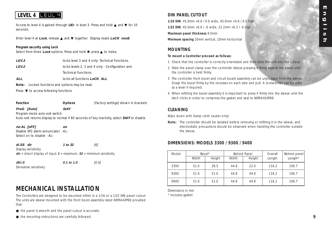#### ш **English** Б  $\boldsymbol{\omega}$ — S. ᢖ

# <span id="page-8-0"></span>LEVEL 4 <mark>LE<del>UL</del> 닉</mark>

Access to level 4 is gained through **UEr** in level 3. Press and hold ▲ and ▼ for 10 seconds.

Enter level 4 at **Lock**, release ▲ and ▼ together. Display reads **LoCK nonE**

#### **Program security using Lock**

Select from three **Lock** options: Press and hold **∗**, press **▲** to index.

| LEV.3      | locks level 3 and 4 only- Technical Functions.   |
|------------|--------------------------------------------------|
| LEV.2      | locks levels 2, 3 and 4 only - Configuration and |
|            | <b>Technical Functions.</b>                      |
| <b>AII</b> | locks all functions $I_0CK$ ALL                  |

**Note:** Locked functions and options may be read.

Press ▼ to access following functions

Function **Continuity** Options *[Factory settings] shown in brackets* 

**ProG [Auto] StAY**

Program mode auto-exit switch

Auto-exit returns display to normal if 60 seconds of key inactivity, select **StAY** to disable

**no.AL [oFF] on** Disable SP2 alarm annunciator -AL-Select on to disable -AL-

**di.SS dir 1 to 32** [6] Display sensitivity  $dir =$  direct display of input  $1 =$  maximum,  $32 =$  minimum sensitivity

**dEr.S 0.1 to 1.0** [0.5]

Derivative sensitivity

# **MECHANICAL INSTALLATION**

The Controllers are designed to be mounted either in a 1/16 or a 1/32 DIN panel cutout. The units are sleeve mounted with the front bezel assembly rated NEMA4/IP66 provided that:

- the panel is smooth and the panel cutout is accurate;
- the mounting instructions are carefully followed.

### **DIN PANEL CUTOUT**

**1/16 DIN**: 45.0mm +0.6 / 0.0 wide, 45.0mm +0.6 / 0.0 high **1/32 DIN**: 45.0mm +0.6 / -0 wide, 22.2mm +0.3 / -0 high **Maximum panel thickness** 9.5mm **Minimum spacing** 20mm vertical, 10mm horizontal

#### **MOUNTING**

#### **To mount a Controller proceed as follows:**

- 1 Check that the controller is correctly orientated and then slide the unit into the cutout.
- 2 Slide the panel clamp over the controller sleeve pressing it firmly against the panel until the controller is held firmly.
- 3 The controller front bezel and circuit board assembly can be unplugged from the sleeve. Grasp the bezel firmly by the recesses on each side and pull. A screwdriver can be used as a lever if required.
- 4 When refitting the bezel assembly it is important to press it firmly into the sleeve until the latch clicks in order to compress the gasket and seal to NEMA4X/IP66.

#### **CLEANING**

Wipe down with damp cloth (water only)

**Note:** The controller should be isolated before removing or refitting it in the sleeve, and electrostatic precautions should be observed when handling the controller outside the sleeve.

#### **DIMENSIONS: MODELS 3300 / 9300 / 9400**

| Model | Bezel* |        | <b>Behind Panel</b> |        | Behind panel<br>Overall |         |
|-------|--------|--------|---------------------|--------|-------------------------|---------|
|       | Width  | Height | Width               | Height | Length                  | Length* |
| 3300  | 51.0   | 28.5   | 44.8                | 22.0   | 116.2                   | 106.7   |
| 9300  | 51.0   | 51.0   | 44.8                | 44.8   | 116.2                   | 106.7   |
| 9400  | 51.0   | 51.0   | 44.8                | 44.8   | 116.2                   | 106.7   |

Dimensions in mm \* includes gasket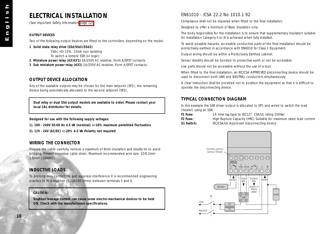# <span id="page-9-0"></span>**ELECTRICAL INSTALLATION**

(See important Safety Information [page 12\)](#page-11-0)

#### **OUTPUT DEVICES**

Two of the following output devices are fitted to the controllers, depending on the model.

**1 Solid state relay drive (SSd/SSd1/SSd2)**

5Vdc +0/-15%, 15mA non isolating

To switch a remote SSR (or logic)

**2 Miniature power relay (rLY/rLY1)** 2A/250V AC resistive, Form A/SPST contacts.

**3 Sub miniature power relay (rLY2)** 1A/250V AC resistive, Form A/SPST contacts.

#### **OUTPUT DEVICE ALLOCATION**

Any of the available outputs may be chosen for the main setpoint (SP1), the remaining device being automatically allocated to the second setpoint (SP2).

**Dual relay or dual SSd output models are available to order. Please contact your local CAL distributor for details.**

**Designed for use with the following supply voltages:**

**1). 100 - 240V 50-60 Hz 4.5 VA (nominal) +/-10% maximum permitted fluctuation**

**2). 12V - 24V (AC/DC) +/-20% 4.5 VA Polarity not required**

#### **WIRING THE CONNECTOR**

Prepare the cable carefully, remove a maximum of 8mm insulation and ideally tin to avoid bridging. Prevent excessive cable strain. Maximum recommended wire size: 32/0.2mm 1.0mm2 (18AWG).

### **INDUCTIVE LOADS**

To prolong relay contact life and suppress interference it is recommended engineering practice to fit a snubber (0.1uf/100 ohms) between terminals 5 and 6.

#### **CAUTION:**

**Snubber leakage current can cause some electro-mechanical devices to be held ON. Check with the manufacturers specifications.**

#### EN61010 - /CSA 22.2 No 1010.1 92

Compliance shall not be impaired when fitted to the final installation.

Designed to offer a minimum of Basic Insulation only.

The body responsible for the installation is to ensure that supplementary insulation suitable for Installation Category II or III is achieved when fully installed.

To avoid possible hazards, accessible conductive parts of the final installation should be protectively earthed in accordance with EN6010 for Class 1 Equipment.

Output wiring should be within a Protectively Earthed cabinet.

Sensor sheaths should be bonded to protective earth or not be accessible.

Live parts should not be accessible without the use of a tool.

When fitted to the final installation, an IEC/CSA APPROVED disconnecting device should be used to disconnect both LINE and NEUTRAL conductors simultaneously.

A clear instruction shall be provided not to position the equipment so that it is difficult to operate the disconnecting device.

#### **TYPICAL CONNECTION DIAGRAM**

In this example the SSR driver output is allocated to SP1 and wired to switch the load (heater) using an SSR.

**F1 Fuse:** 1A time lag type to IEC127. CSA/UL rating 250Vac

**F2 Fuse:** High Rupture Capacity (HRC) Suitable for maximum rated load current

**S1 Switch:** IEC/CSA/UL Approved disconnecting device

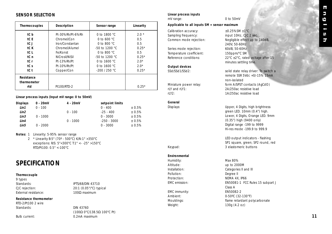#### <span id="page-10-0"></span>**SENSOR SELECTION**

| Thermocouples             | Description      | Sensor range           | Linearity |
|---------------------------|------------------|------------------------|-----------|
| tC b                      | Pt-30%Rh/Pt-6%Rh | 0 to 1800 $^{\circ}$ C | $2.0*$    |
| tC E                      | Chromel/Con      | 0 to 600 $^{\circ}$ C  | 0.5       |
| tC J                      | Iron/Constantan  | 0 to 800 $^{\circ}$ C  | 0.5       |
| tC K                      | Chromel/Alumel   | $-50$ to 1200 °C       | $0.25*$   |
| tC L                      | Fe/Konst         | 0 to 800 $^{\circ}$ C  | 0.5       |
| tC n                      | NiCrosil/NiSil   | $-50$ to 1200 °C       | $0.25*$   |
| tC r                      | Pt-13%Rh/Pt      | 0 to $1600 °C$         | $2.0*$    |
| tCs                       | Pt-10%Rh/Pt      | 0 to $1600 °C$         | $2.0*$    |
| tC t                      | Copper/Con       | $-200/250 °C$          | $0.25*$   |
| Resistance<br>thermometer |                  |                        |           |
| rtd                       | Pt100/RTD-2      |                        | $0.25*$   |

#### **Linear process inputs (Input mV range: 0 to 50mV)**

| <b>Displays</b>  | $0 - 20mV$ | $4 - 20mV$ | setpoint limits |        |
|------------------|------------|------------|-----------------|--------|
| Lin1             | $0 - 100$  |            | $0 - 400$       | ± 0.5% |
| Lin <sub>2</sub> |            | $0 - 100$  | $-25 - 400$     | ± 0.5% |
| Lin3             | $0 - 1000$ |            | $0 - 3000$      | ± 0.5% |
| Lin4             |            | $0 - 1000$ | $-250 - 3000$   | ± 0.5% |
| Lin5             | $0 - 2000$ |            | $0 - 3000$      | ± 0.5% |

#### **Notes:** 1 Linearity: 5-95% sensor range

2 \* Linearity B:5° (70º - 500°C) K/N:1° >350°C exceptions: R/S: 5°<300°C T:1° <- -25° >150°C RTD/Pt100: 0.5° <-100°C

# **SPECIFICATION**

#### **Thermocouple**

9 types Standards: IPTS/68/DIN 43710 External resistance: 100Ω maximum

#### **Resistance thermometer**

RTD-2/Pt100 2 wire<br>Standards:

CJC rejection: 20:1 (0.05°/°C) typical

Standards: DIN 43760 (100Ω 0°C/138.5Ω 100°C Pt) Bulb current: 0.2mA maximum

#### **Linear process inputs**

mV range: 0 to 50mV

#### **Applicable to all inputs SM = sensor maximum**

Calibration accuracy:  $\pm 0.25\%$ SM  $\pm 1^{\circ}$ C Sampling frequency: input 10Hz, CJC 2 sec.

Series mode rejection: 60dB, 50-60Hz Temperature coefficient: 150ppm/°C SM

**Output devices**

### **General**

#### **Environmental**

Humidity: Max 80% Altitude: up to 2000M Pollution: Degree ll Protection: NEMA 4X, IP66

EMC immunity: EN50082-2 Weight: 130g (4.2 oz)

Common mode rejection: Negligible effect up to 140dB, 240V, 50-60Hz Reference conditions: 22°C ±2°C, rated voltage after 15 minutes settling time.

SSd/SSd1/SSd2: solid state relay driver: To switch a remote SSR 5Vdc +0/-15% 15mA non-isolated Miniature power relay: form A/SPST contacts (AqCdO) rLY and rLY1: 2A/250ac resistive load rLY2: 1A/250ac resistive load

Displays: Upper, 4 Digits, high brightness green LED. 10mm (0.4") high. Lower, 4 Digits, Orange LED. 9mm (0.35") high (9400 only) Digital range -199 to 9999 Hi-res mode -199.9 to 999.9

LED output indicators - flashing SP1 square, green; SP2 round, red Keypad: 3 elastomeric buttons

Installation: Categories II and III EMC emission: EN50081-1 FCC Rules 15 subpart J Class A Ambient: 0-50ºC (32-130°F) Mouldings: flame retardant polycarbonate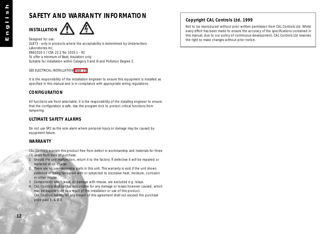# <span id="page-11-0"></span>**SAFETY AND WARRANTY INFORMATION**



Designed for use: UL873 - only in products where the acceptability is determined by Underwriters Laboratories Inc. EN61010-1 / CSA 22.2 No 1010.1 - 92 To offer a minimum of Basic Insulation only. Suitable for installation within Catagory II and III and Pollution Degree 2.

#### SEE ELECTRICAL INSTALLATION [Page 10](#page-9-0)

It is the responsibility of the installation engineer to ensure this equipment is installed as specified in this manual and is in compliance with appropriate wiring regulations.

#### **CONFIGURATION**

All functions are front selectable, it is the responsibility of the installing engineer to ensure that the configuration is safe. Use the program lock to protect critical functions from tampering.

#### **ULTIMATE SAFETY ALARMS**

Do not use SP2 as the sole alarm where personal injury or damage may be caused by equipment failure.

#### **WARRANTY**

CAL Controls warrant this product free from defect in workmanship and materials for three (3) years from date of purchase.

- 1 Should the unit malfunction, return it to the factory. If defective it will be repaired or replaced at no charge.
- 2 There are no user-servisable parts in this unit. This warranty is void if the unit shows evidence of being tampered with or subjected to excessive heat, moisture, corrosion or other misuse.
- 3 Components which wear, or damage with misuse, are excluded e.g. relays.
- 4 CAL Controls shall not be responsible for any damage or losses however caused, which may be experienced as a result of the installation or use of this product. CAL Controls liability for any breach of this agreement shall not exceed the purchase price paid E. & O.E.

#### **Copyright CAL Controls Ltd. 1999**

Not to be reproduced without prior written permission from CAL Controls Ltd. Whilst every effort has been made to ensure the accuracy of the specifications contained in this manual, due to our policy of continuous development, CAL Controls Ltd reserves the right to make changes without prior notice.